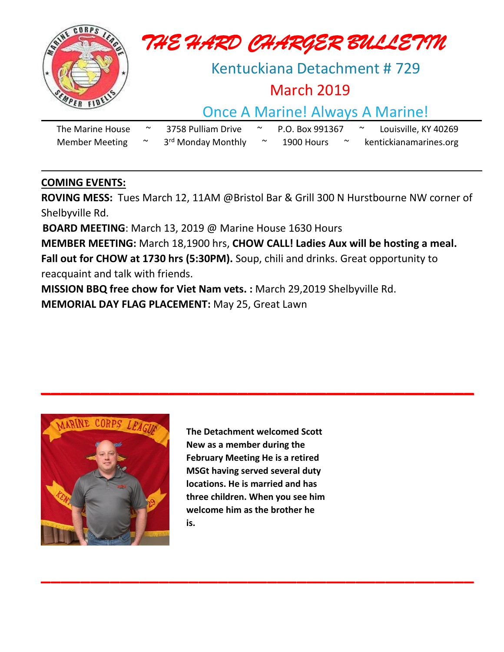

### **COMING EVENTS:**

**ROVING MESS:** Tues March 12, 11AM @Bristol Bar & Grill 300 N Hurstbourne NW corner of Shelbyville Rd.

**BOARD MEETING**: March 13, 2019 @ Marine House 1630 Hours

**MEMBER MEETING:** March 18,1900 hrs, **CHOW CALL! Ladies Aux will be hosting a meal. Fall out for CHOW at 1730 hrs (5:30PM).** Soup, chili and drinks. Great opportunity to reacquaint and talk with friends.

**MISSION BBQ free chow for Viet Nam vets. :** March 29,2019 Shelbyville Rd.

**MEMORIAL DAY FLAG PLACEMENT:** May 25, Great Lawn



**The Detachment welcomed Scott New as a member during the February Meeting He is a retired MSGt having served several duty locations. He is married and has three children. When you see him welcome him as the brother he is.**

**\_\_\_\_\_\_\_\_\_\_\_\_\_\_\_\_\_\_\_\_\_\_\_\_\_\_\_\_\_\_\_\_\_\_\_\_\_\_\_\_\_\_\_\_**

**\_\_\_\_\_\_\_\_\_\_\_\_\_\_\_\_\_\_\_\_\_\_\_\_\_\_\_\_\_\_\_\_\_\_\_\_\_\_\_\_\_\_\_\_**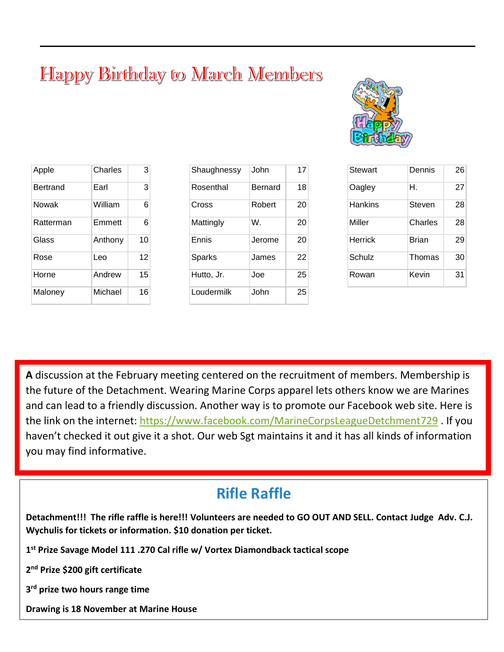# **Happy Birthday to March Members**



| Apple     | Charles | 3  |
|-----------|---------|----|
| Bertrand  | Earl    | 3  |
| Nowak     | William | 6  |
| Ratterman | Emmett  | 6  |
| Glass     | Anthony | 10 |
| Rose      | Leo     | 12 |
| Horne     | Andrew  | 15 |
| Maloney   | Michael | 16 |
|           |         |    |

| Shaughnessy | .John   | 17 |
|-------------|---------|----|
| Rosenthal   | Bernard | 18 |
| Cross       | Robert  | 20 |
| Mattingly   | W.      | 20 |
| Ennis       | Jerome  | 20 |
| Sparks      | James   | 22 |
| Hutto, Jr.  | Joe     | 25 |
| Loudermilk  | John    | 25 |

| Stewart | Dennis       | 26 |
|---------|--------------|----|
| Oagley  | Н.           | 27 |
| Hankins | Steven       | 28 |
| Miller  | Charles      | 28 |
| Herrick | <b>Brian</b> | 29 |
| Schulz  | Thomas       | 30 |
| Rowan   | Kevin        | 31 |

**A** discussion at the February meeting centered on the recruitment of members. Membership is the future of the Detachment. Wearing Marine Corps apparel lets others know we are Marines and can lead to a friendly discussion. Another way is to promote our Facebook web site. Here is the link on the internet:<https://www.facebook.com/MarineCorpsLeagueDetchment729> . If you haven't checked it out give it a shot. Our web Sgt maintains it and it has all kinds of information you may find informative.

## **Rifle Raffle**

**Detachment!!! The rifle raffle is here!!! Volunteers are needed to GO OUT AND SELL. Contact Judge Adv. C.J. Wychulis for tickets or information. \$10 donation per ticket.**

**1 st Prize Savage Model 111 .270 Cal rifle w/ Vortex Diamondback tactical scope**

**2 nd Prize \$200 gift certificate**

**3 rd prize two hours range time**

**Drawing is 18 November at Marine House**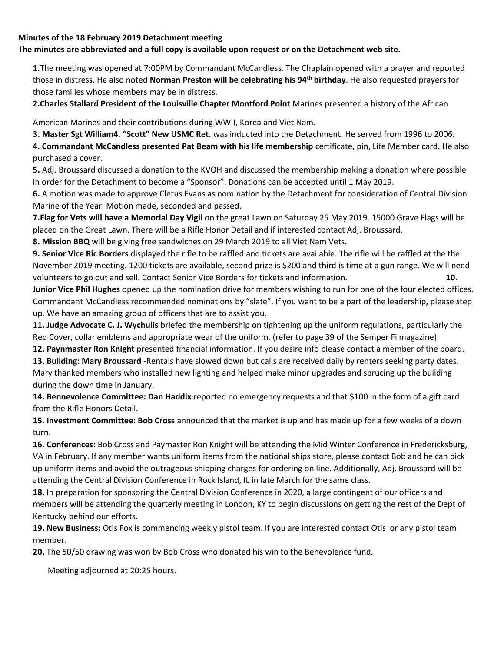#### **Minutes of the 18 February 2019 Detachment meeting**

#### **The minutes are abbreviated and a full copy is available upon request or on the Detachment web site.**

**1.**The meeting was opened at 7:00PM by Commandant McCandless. The Chaplain opened with a prayer and reported those in distress. He also noted **Norman Preston will be celebrating his 94th birthday**. He also requested prayers for those families whose members may be in distress.

**2.Charles Stallard President of the Louisville Chapter Montford Point** Marines presented a history of the African

American Marines and their contributions during WWII, Korea and Viet Nam.

**3. Master Sgt William4. "Scott" New USMC Ret.** was inducted into the Detachment. He served from 1996 to 2006.

**4. Commandant McCandless presented Pat Beam with his life membership** certificate, pin, Life Member card. He also purchased a cover.

**5.** Adj. Broussard discussed a donation to the KVOH and discussed the membership making a donation where possible in order for the Detachment to become a "Sponsor". Donations can be accepted until 1 May 2019.

**6.** A motion was made to approve Cletus Evans as nomination by the Detachment for consideration of Central Division Marine of the Year. Motion made, seconded and passed.

**7.Flag for Vets will have a Memorial Day Vigil** on the great Lawn on Saturday 25 May 2019. 15000 Grave Flags will be placed on the Great Lawn. There will be a Rifle Honor Detail and if interested contact Adj. Broussard.

**8. Mission BBQ** will be giving free sandwiches on 29 March 2019 to all Viet Nam Vets.

**9. Senior Vice Ric Borders** displayed the rifle to be raffled and tickets are available. The rifle will be raffled at the the November 2019 meeting. 1200 tickets are available, second prize is \$200 and third is time at a gun range. We will need volunteers to go out and sell. Contact Senior Vice Borders for tickets and information. **10.**

**Junior Vice Phil Hughes** opened up the nomination drive for members wishing to run for one of the four elected offices. Commandant McCandless recommended nominations by "slate". If you want to be a part of the leadership, please step up. We have an amazing group of officers that are to assist you.

**11. Judge Advocate C. J. Wychulis** briefed the membership on tightening up the uniform regulations, particularly the Red Cover, collar emblems and appropriate wear of the uniform. (refer to page 39 of the Semper Fi magazine)

**12. Paynmaster Ron Knight** presented financial information. If you desire info please contact a member of the board. **13. Building: Mary Broussard** -Rentals have slowed down but calls are received daily by renters seeking party dates.

Mary thanked members who installed new lighting and helped make minor upgrades and sprucing up the building during the down time in January.

**14. Bennevolence Committee: Dan Haddix** reported no emergency requests and that \$100 in the form of a gift card from the Rifle Honors Detail.

**15. Investment Committee: Bob Cross** announced that the market is up and has made up for a few weeks of a down turn.

**16. Conferences:** Bob Cross and Paymaster Ron Knight will be attending the Mid Winter Conference in Fredericksburg, VA in February. If any member wants uniform items from the national ships store, please contact Bob and he can pick up uniform items and avoid the outrageous shipping charges for ordering on line. Additionally, Adj. Broussard will be attending the Central Division Conference in Rock Island, IL in late March for the same class.

**18.** In preparation for sponsoring the Central Division Conference in 2020, a large contingent of our officers and members will be attending the quarterly meeting in London, KY to begin discussions on getting the rest of the Dept of Kentucky behind our efforts.

**19. New Business:** Otis Fox is commencing weekly pistol team. If you are interested contact Otis or any pistol team member.

**20.** The 50/50 drawing was won by Bob Cross who donated his win to the Benevolence fund.

Meeting adjourned at 20:25 hours.